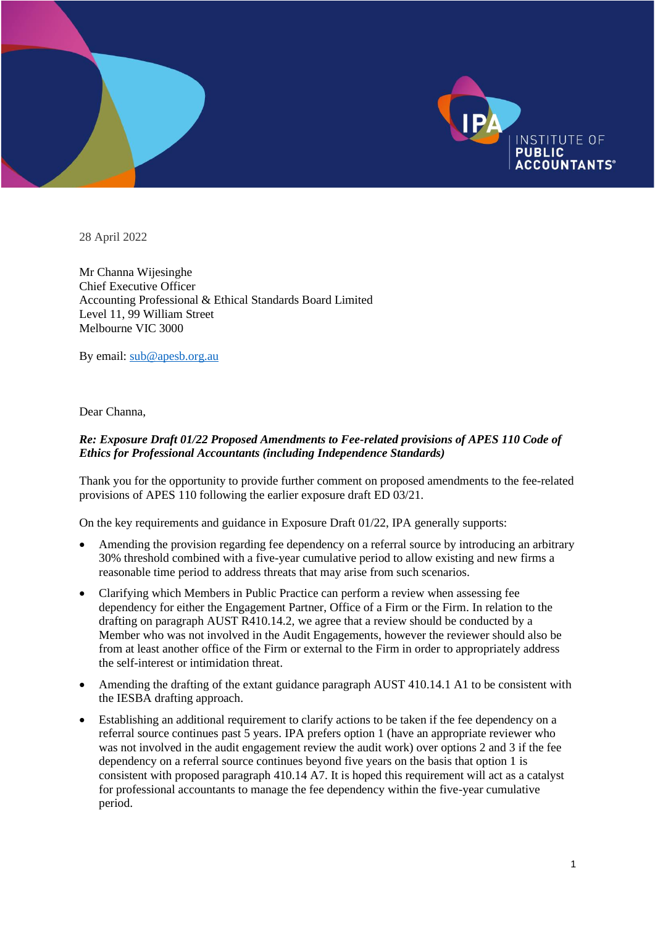

28 April 2022

Mr Channa Wijesinghe Chief Executive Officer Accounting Professional & Ethical Standards Board Limited Level 11, 99 William Street Melbourne VIC 3000

By email: [sub@apesb.org.au](mailto:sub@apesb.org.au)

Dear Channa,

## *Re: Exposure Draft 01/22 Proposed Amendments to Fee-related provisions of APES 110 Code of Ethics for Professional Accountants (including Independence Standards)*

Thank you for the opportunity to provide further comment on proposed amendments to the fee-related provisions of APES 110 following the earlier exposure draft ED 03/21.

On the key requirements and guidance in Exposure Draft 01/22, IPA generally supports:

- Amending the provision regarding fee dependency on a referral source by introducing an arbitrary 30% threshold combined with a five-year cumulative period to allow existing and new firms a reasonable time period to address threats that may arise from such scenarios.
- Clarifying which Members in Public Practice can perform a review when assessing fee dependency for either the Engagement Partner, Office of a Firm or the Firm. In relation to the drafting on paragraph AUST R410.14.2, we agree that a review should be conducted by a Member who was not involved in the Audit Engagements, however the reviewer should also be from at least another office of the Firm or external to the Firm in order to appropriately address the self-interest or intimidation threat.
- Amending the drafting of the extant guidance paragraph AUST 410.14.1 A1 to be consistent with the IESBA drafting approach.
- Establishing an additional requirement to clarify actions to be taken if the fee dependency on a referral source continues past 5 years. IPA prefers option 1 (have an appropriate reviewer who was not involved in the audit engagement review the audit work) over options 2 and 3 if the fee dependency on a referral source continues beyond five years on the basis that option 1 is consistent with proposed paragraph 410.14 A7. It is hoped this requirement will act as a catalyst for professional accountants to manage the fee dependency within the five-year cumulative period.